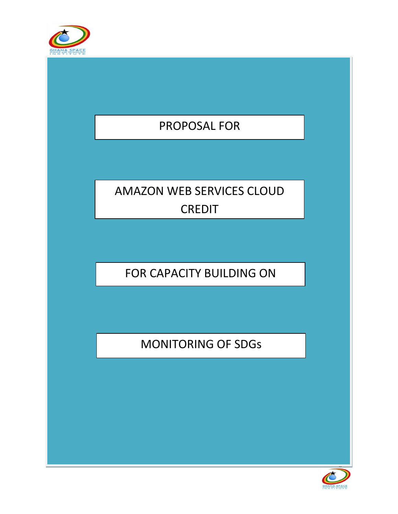

# PROPOSAL FOR

# AMAZON WEB SERVICES CLOUD CREDIT

FOR CAPACITY BUILDING ON

MONITORING OF SDGs



Page 1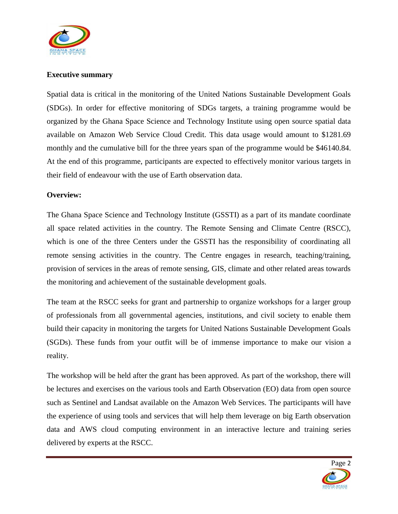

### **Executive summary**

Spatial data is critical in the monitoring of the United Nations Sustainable Development Goals (SDGs). In order for effective monitoring of SDGs targets, a training programme would be organized by the Ghana Space Science and Technology Institute using open source spatial data available on Amazon Web Service Cloud Credit. This data usage would amount to \$1281.69 monthly and the cumulative bill for the three years span of the programme would be \$46140.84. At the end of this programme, participants are expected to effectively monitor various targets in their field of endeavour with the use of Earth observation data.

### **Overview:**

The Ghana Space Science and Technology Institute (GSSTI) as a part of its mandate coordinate all space related activities in the country. The Remote Sensing and Climate Centre (RSCC), which is one of the three Centers under the GSSTI has the responsibility of coordinating all remote sensing activities in the country. The Centre engages in research, teaching/training, provision of services in the areas of remote sensing, GIS, climate and other related areas towards the monitoring and achievement of the sustainable development goals.

The team at the RSCC seeks for grant and partnership to organize workshops for a larger group of professionals from all governmental agencies, institutions, and civil society to enable them build their capacity in monitoring the targets for United Nations Sustainable Development Goals (SGDs). These funds from your outfit will be of immense importance to make our vision a reality.

The workshop will be held after the grant has been approved. As part of the workshop, there will be lectures and exercises on the various tools and Earth Observation (EO) data from open source such as Sentinel and Landsat available on the Amazon Web Services. The participants will have the experience of using tools and services that will help them leverage on big Earth observation data and AWS cloud computing environment in an interactive lecture and training series delivered by experts at the RSCC.

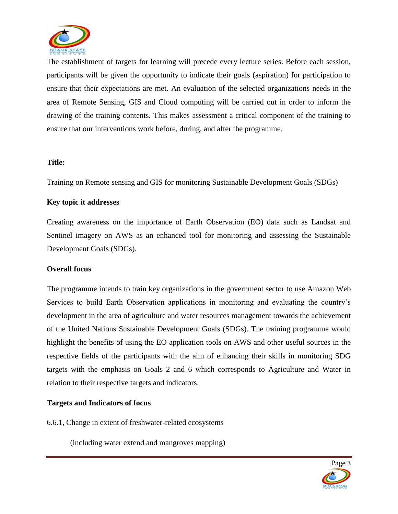

The establishment of targets for learning will precede every lecture series. Before each session, participants will be given the opportunity to indicate their goals (aspiration) for participation to ensure that their expectations are met. An evaluation of the selected organizations needs in the area of Remote Sensing, GIS and Cloud computing will be carried out in order to inform the drawing of the training contents. This makes assessment a critical component of the training to ensure that our interventions work before, during, and after the programme.

#### **Title:**

Training on Remote sensing and GIS for monitoring Sustainable Development Goals (SDGs)

#### **Key topic it addresses**

Creating awareness on the importance of Earth Observation (EO) data such as Landsat and Sentinel imagery on AWS as an enhanced tool for monitoring and assessing the Sustainable Development Goals (SDGs).

### **Overall focus**

The programme intends to train key organizations in the government sector to use Amazon Web Services to build Earth Observation applications in monitoring and evaluating the country's development in the area of agriculture and water resources management towards the achievement of the United Nations Sustainable Development Goals (SDGs). The training programme would highlight the benefits of using the EO application tools on AWS and other useful sources in the respective fields of the participants with the aim of enhancing their skills in monitoring SDG targets with the emphasis on Goals 2 and 6 which corresponds to Agriculture and Water in relation to their respective targets and indicators.

### **Targets and Indicators of focus**

6.6.1, Change in extent of freshwater-related ecosystems

(including water extend and mangroves mapping)

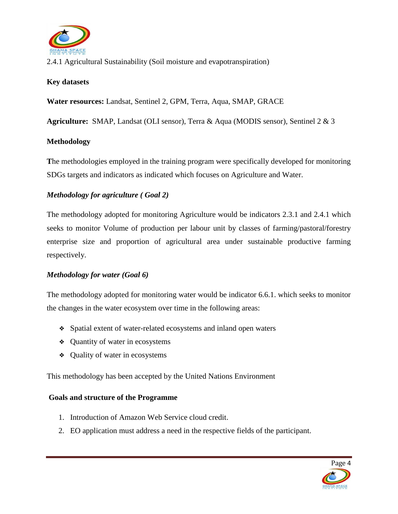

2.4.1 Agricultural Sustainability (Soil moisture and evapotranspiration)

# **Key datasets**

**Water resources:** Landsat, Sentinel 2, GPM, Terra, Aqua, SMAP, GRACE

**Agriculture:** SMAP, Landsat (OLI sensor), Terra & Aqua (MODIS sensor), Sentinel 2 & 3

# **Methodology**

**T**he methodologies employed in the training program were specifically developed for monitoring SDGs targets and indicators as indicated which focuses on Agriculture and Water.

# *Methodology for agriculture ( Goal 2)*

The methodology adopted for monitoring Agriculture would be indicators 2.3.1 and 2.4.1 which seeks to monitor Volume of production per labour unit by classes of farming/pastoral/forestry enterprise size and proportion of agricultural area under sustainable productive farming respectively.

### *Methodology for water (Goal 6)*

The methodology adopted for monitoring water would be indicator 6.6.1. which seeks to monitor the changes in the water ecosystem over time in the following areas:

- ❖ Spatial extent of water-related ecosystems and inland open waters
- ❖ Quantity of water in ecosystems
- ❖ Quality of water in ecosystems

This methodology has been accepted by the United Nations Environment

### **Goals and structure of the Programme**

- 1. Introduction of Amazon Web Service cloud credit.
- 2. EO application must address a need in the respective fields of the participant.

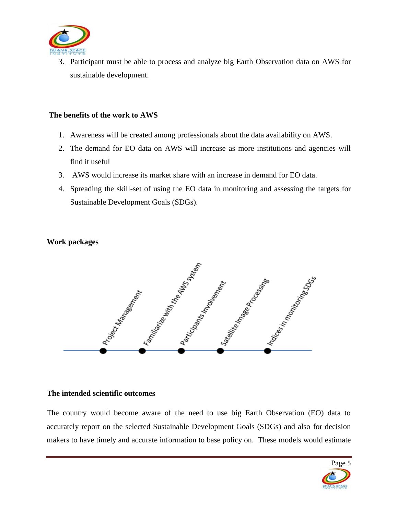

3. Participant must be able to process and analyze big Earth Observation data on AWS for sustainable development.

#### **The benefits of the work to AWS**

- 1. Awareness will be created among professionals about the data availability on AWS.
- 2. The demand for EO data on AWS will increase as more institutions and agencies will find it useful
- 3. AWS would increase its market share with an increase in demand for EO data.
- 4. Spreading the skill-set of using the EO data in monitoring and assessing the targets for Sustainable Development Goals (SDGs).

### **Work packages**



#### **The intended scientific outcomes**

The country would become aware of the need to use big Earth Observation (EO) data to accurately report on the selected Sustainable Development Goals (SDGs) and also for decision makers to have timely and accurate information to base policy on. These models would estimate

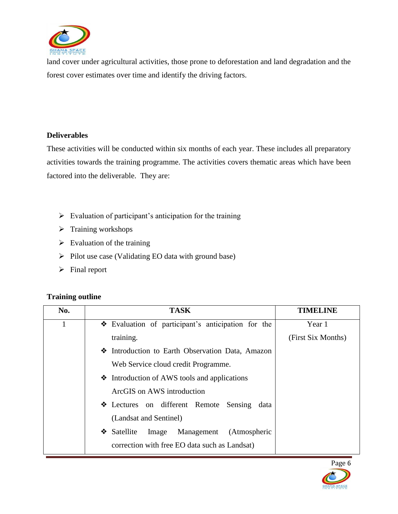

land cover under agricultural activities, those prone to deforestation and land degradation and the forest cover estimates over time and identify the driving factors.

# **Deliverables**

These activities will be conducted within six months of each year. These includes all preparatory activities towards the training programme. The activities covers thematic areas which have been factored into the deliverable. They are:

- $\triangleright$  Evaluation of participant's anticipation for the training
- $\triangleright$  Training workshops
- $\triangleright$  Evaluation of the training
- $\triangleright$  Pilot use case (Validating EO data with ground base)
- $\triangleright$  Final report

# **Training outline**

| No. | <b>TASK</b>                                        | <b>TIMELINE</b>    |
|-----|----------------------------------------------------|--------------------|
|     | Evaluation of participant's anticipation for the   | Year 1             |
|     | training.                                          | (First Six Months) |
|     | Introduction to Earth Observation Data, Amazon     |                    |
|     | Web Service cloud credit Programme.                |                    |
|     | • Introduction of AWS tools and applications       |                    |
|     | ArcGIS on AWS introduction                         |                    |
|     | Lectures on different Remote Sensing<br>data       |                    |
|     | (Landsat and Sentinel)                             |                    |
|     | Image Management<br>(Atmospheric<br>Satellite<br>❖ |                    |
|     | correction with free EO data such as Landsat)      |                    |

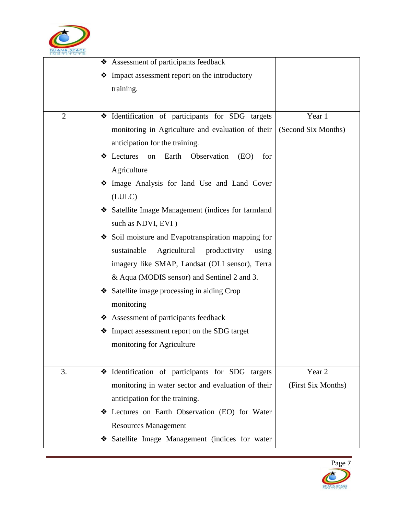

|                | * Assessment of participants feedback                      |                     |
|----------------|------------------------------------------------------------|---------------------|
|                | Impact assessment report on the introductory<br>❖          |                     |
|                | training.                                                  |                     |
|                |                                                            |                     |
| $\overline{2}$ | * Identification of participants for SDG targets           | Year 1              |
|                | monitoring in Agriculture and evaluation of their          | (Second Six Months) |
|                | anticipation for the training.                             |                     |
|                | Lectures<br>Earth<br>Observation<br>on<br>(EO)<br>for<br>❖ |                     |
|                | Agriculture                                                |                     |
|                | Image Analysis for land Use and Land Cover                 |                     |
|                | (LULC)                                                     |                     |
|                | Satellite Image Management (indices for farmland           |                     |
|                | such as NDVI, EVI)                                         |                     |
|                | Soil moisture and Evapotranspiration mapping for           |                     |
|                | Agricultural productivity<br>sustainable<br>using          |                     |
|                | imagery like SMAP, Landsat (OLI sensor), Terra             |                     |
|                | & Aqua (MODIS sensor) and Sentinel 2 and 3.                |                     |
|                | Satellite image processing in aiding Crop                  |                     |
|                | monitoring                                                 |                     |
|                | ❖ Assessment of participants feedback                      |                     |
|                | Impact assessment report on the SDG target<br>❖            |                     |
|                | monitoring for Agriculture                                 |                     |
|                |                                                            |                     |
| 3.             | Hentification of participants for SDG targets              | Year 2              |
|                | monitoring in water sector and evaluation of their         | (First Six Months)  |
|                | anticipation for the training.                             |                     |
|                | Lectures on Earth Observation (EO) for Water<br>❖          |                     |
|                | <b>Resources Management</b>                                |                     |
|                | Satellite Image Management (indices for water              |                     |

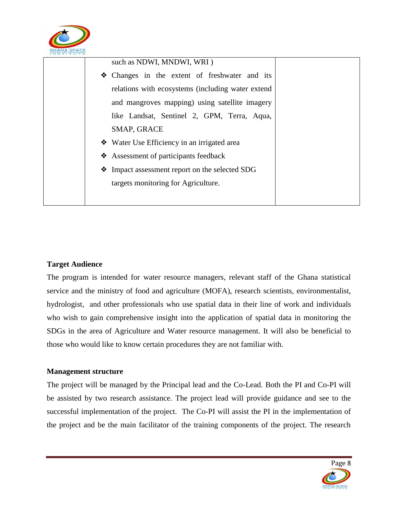

| such as NDWI, MNDWI, WRI)                         |  |
|---------------------------------------------------|--|
| • Changes in the extent of freshwater and its     |  |
| relations with ecosystems (including water extend |  |
| and mangroves mapping) using satellite imagery    |  |
| like Landsat, Sentinel 2, GPM, Terra, Aqua,       |  |
| SMAP, GRACE                                       |  |
| ❖ Water Use Efficiency in an irrigated area       |  |
| ❖ Assessment of participants feedback             |  |
| • Impact assessment report on the selected SDG    |  |
| targets monitoring for Agriculture.               |  |
|                                                   |  |
|                                                   |  |

# **Target Audience**

The program is intended for water resource managers, relevant staff of the Ghana statistical service and the ministry of food and agriculture (MOFA), research scientists, environmentalist, hydrologist, and other professionals who use spatial data in their line of work and individuals who wish to gain comprehensive insight into the application of spatial data in monitoring the SDGs in the area of Agriculture and Water resource management. It will also be beneficial to those who would like to know certain procedures they are not familiar with.

#### **Management structure**

The project will be managed by the Principal lead and the Co-Lead. Both the PI and Co-PI will be assisted by two research assistance. The project lead will provide guidance and see to the successful implementation of the project. The Co-PI will assist the PI in the implementation of the project and be the main facilitator of the training components of the project. The research

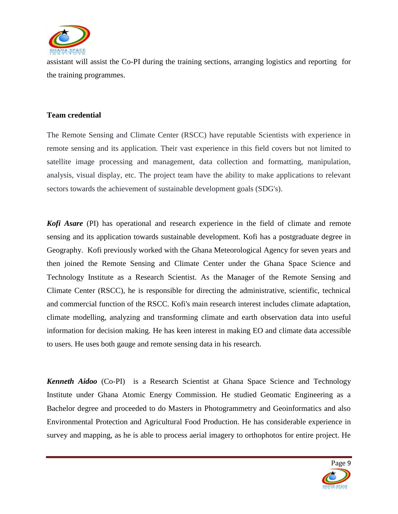

assistant will assist the Co-PI during the training sections, arranging logistics and reporting for the training programmes.

#### **Team credential**

The Remote Sensing and Climate Center (RSCC) have reputable Scientists with experience in remote sensing and its application. Their vast experience in this field covers but not limited to satellite image processing and management, data collection and formatting, manipulation, analysis, visual display, etc. The project team have the ability to make applications to relevant sectors towards the achievement of sustainable development goals (SDG's).

*Kofi Asare* (PI) has operational and research experience in the field of climate and remote sensing and its application towards sustainable development. Kofi has a postgraduate degree in Geography. Kofi previously worked with the Ghana Meteorological Agency for seven years and then joined the Remote Sensing and Climate Center under the Ghana Space Science and Technology Institute as a Research Scientist. As the Manager of the Remote Sensing and Climate Center (RSCC), he is responsible for directing the administrative, scientific, technical and commercial function of the RSCC. Kofi's main research interest includes climate adaptation, climate modelling, analyzing and transforming climate and earth observation data into useful information for decision making. He has keen interest in making EO and climate data accessible to users. He uses both gauge and remote sensing data in his research.

*Kenneth Aidoo* (Co-PI) is a Research Scientist at Ghana Space Science and Technology Institute under Ghana Atomic Energy Commission. He studied Geomatic Engineering as a Bachelor degree and proceeded to do Masters in Photogrammetry and Geoinformatics and also Environmental Protection and Agricultural Food Production. He has considerable experience in survey and mapping, as he is able to process aerial imagery to orthophotos for entire project. He

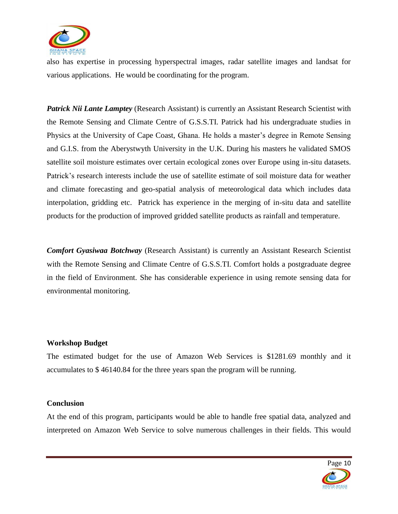

also has expertise in processing hyperspectral images, radar satellite images and landsat for various applications. He would be coordinating for the program.

**Patrick Nii Lante Lamptey** (Research Assistant) is currently an Assistant Research Scientist with the Remote Sensing and Climate Centre of G.S.S.TI. Patrick had his undergraduate studies in Physics at the University of Cape Coast, Ghana. He holds a master's degree in Remote Sensing and G.I.S. from the Aberystwyth University in the U.K. During his masters he validated SMOS satellite soil moisture estimates over certain ecological zones over Europe using in-situ datasets. Patrick's research interests include the use of satellite estimate of soil moisture data for weather and climate forecasting and geo-spatial analysis of meteorological data which includes data interpolation, gridding etc. Patrick has experience in the merging of in-situ data and satellite products for the production of improved gridded satellite products as rainfall and temperature.

*Comfort Gyasiwaa Botchway* (Research Assistant) is currently an Assistant Research Scientist with the Remote Sensing and Climate Centre of G.S.S.TI. Comfort holds a postgraduate degree in the field of Environment. She has considerable experience in using remote sensing data for environmental monitoring.

### **Workshop Budget**

The estimated budget for the use of Amazon Web Services is \$1281.69 monthly and it accumulates to \$ 46140.84 for the three years span the program will be running.

#### **Conclusion**

At the end of this program, participants would be able to handle free spatial data, analyzed and interpreted on Amazon Web Service to solve numerous challenges in their fields. This would